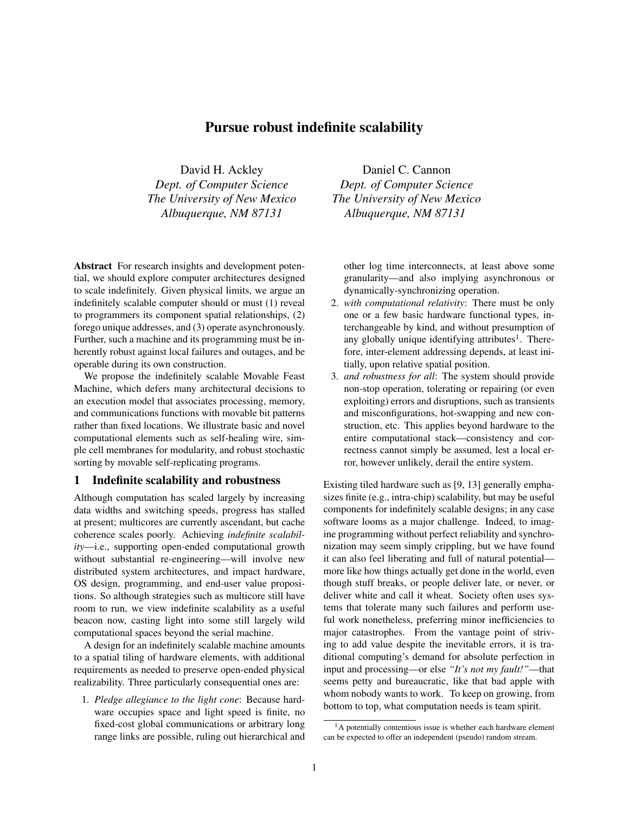# Pursue robust indefinite scalability

David H. Ackley *Dept. of Computer Science The University of New Mexico Albuquerque, NM 87131*

Abstract For research insights and development potential, we should explore computer architectures designed to scale indefinitely. Given physical limits, we argue an indefinitely scalable computer should or must (1) reveal to programmers its component spatial relationships, (2) forego unique addresses, and (3) operate asynchronously. Further, such a machine and its programming must be inherently robust against local failures and outages, and be operable during its own construction.

We propose the indefinitely scalable Movable Feast Machine, which defers many architectural decisions to an execution model that associates processing, memory, and communications functions with movable bit patterns rather than fixed locations. We illustrate basic and novel computational elements such as self-healing wire, simple cell membranes for modularity, and robust stochastic sorting by movable self-replicating programs.

# 1 Indefinite scalability and robustness

Although computation has scaled largely by increasing data widths and switching speeds, progress has stalled at present; multicores are currently ascendant, but cache coherence scales poorly. Achieving *indefinite scalability*—i.e., supporting open-ended computational growth without substantial re-engineering—will involve new distributed system architectures, and impact hardware, OS design, programming, and end-user value propositions. So although strategies such as multicore still have room to run, we view indefinite scalability as a useful beacon now, casting light into some still largely wild computational spaces beyond the serial machine.

A design for an indefinitely scalable machine amounts to a spatial tiling of hardware elements, with additional requirements as needed to preserve open-ended physical realizability. Three particularly consequential ones are:

1. *Pledge allegiance to the light cone*: Because hardware occupies space and light speed is finite, no fixed-cost global communications or arbitrary long range links are possible, ruling out hierarchical and

Daniel C. Cannon *Dept. of Computer Science The University of New Mexico Albuquerque, NM 87131*

other log time interconnects, at least above some granularity—and also implying asynchronous or dynamically-synchronizing operation.

- 2. *with computational relativity*: There must be only one or a few basic hardware functional types, interchangeable by kind, and without presumption of any globally unique identifying attributes<sup>1</sup>. Therefore, inter-element addressing depends, at least initially, upon relative spatial position.
- 3. *and robustness for all*: The system should provide non-stop operation, tolerating or repairing (or even exploiting) errors and disruptions, such as transients and misconfigurations, hot-swapping and new construction, etc. This applies beyond hardware to the entire computational stack—consistency and correctness cannot simply be assumed, lest a local error, however unlikely, derail the entire system.

Existing tiled hardware such as [9, 13] generally emphasizes finite (e.g., intra-chip) scalability, but may be useful components for indefinitely scalable designs; in any case software looms as a major challenge. Indeed, to imagine programming without perfect reliability and synchronization may seem simply crippling, but we have found it can also feel liberating and full of natural potential more like how things actually get done in the world, even though stuff breaks, or people deliver late, or never, or deliver white and call it wheat. Society often uses systems that tolerate many such failures and perform useful work nonetheless, preferring minor inefficiencies to major catastrophes. From the vantage point of striving to add value despite the inevitable errors, it is traditional computing's demand for absolute perfection in input and processing—or else *"It's not my fault!"*—that seems petty and bureaucratic, like that bad apple with whom nobody wants to work. To keep on growing, from bottom to top, what computation needs is team spirit.

<sup>&</sup>lt;sup>1</sup>A potentially contentious issue is whether each hardware element can be expected to offer an independent (pseudo) random stream.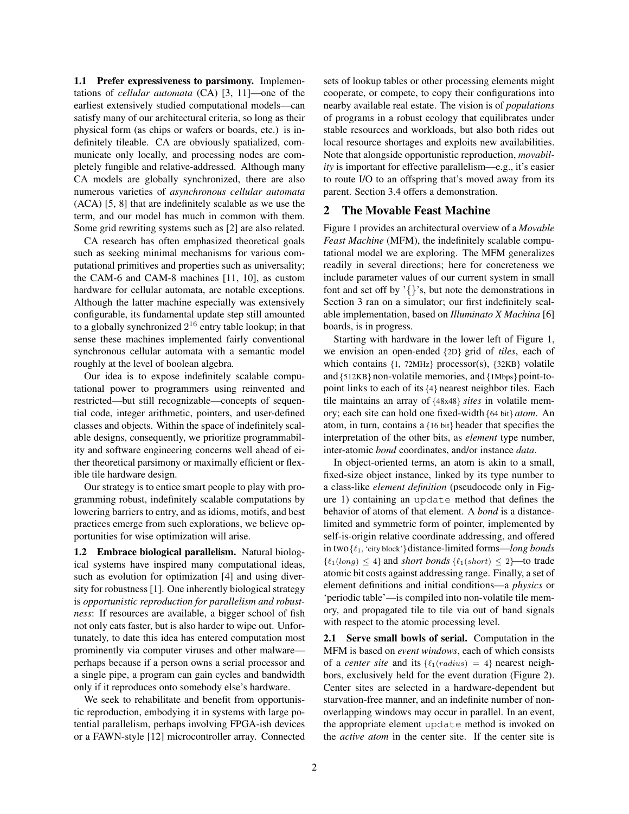1.1 Prefer expressiveness to parsimony. Implementations of *cellular automata* (CA) [3, 11]—one of the earliest extensively studied computational models—can satisfy many of our architectural criteria, so long as their physical form (as chips or wafers or boards, etc.) is indefinitely tileable. CA are obviously spatialized, communicate only locally, and processing nodes are completely fungible and relative-addressed. Although many CA models are globally synchronized, there are also numerous varieties of *asynchronous cellular automata* (ACA) [5, 8] that are indefinitely scalable as we use the term, and our model has much in common with them. Some grid rewriting systems such as [2] are also related.

CA research has often emphasized theoretical goals such as seeking minimal mechanisms for various computational primitives and properties such as universality; the CAM-6 and CAM-8 machines [11, 10], as custom hardware for cellular automata, are notable exceptions. Although the latter machine especially was extensively configurable, its fundamental update step still amounted to a globally synchronized  $2^{16}$  entry table lookup; in that sense these machines implemented fairly conventional synchronous cellular automata with a semantic model roughly at the level of boolean algebra.

Our idea is to expose indefinitely scalable computational power to programmers using reinvented and restricted—but still recognizable—concepts of sequential code, integer arithmetic, pointers, and user-defined classes and objects. Within the space of indefinitely scalable designs, consequently, we prioritize programmability and software engineering concerns well ahead of either theoretical parsimony or maximally efficient or flexible tile hardware design.

Our strategy is to entice smart people to play with programming robust, indefinitely scalable computations by lowering barriers to entry, and as idioms, motifs, and best practices emerge from such explorations, we believe opportunities for wise optimization will arise.

1.2 Embrace biological parallelism. Natural biological systems have inspired many computational ideas, such as evolution for optimization [4] and using diversity for robustness [1]. One inherently biological strategy is *opportunistic reproduction for parallelism and robustness*: If resources are available, a bigger school of fish not only eats faster, but is also harder to wipe out. Unfortunately, to date this idea has entered computation most prominently via computer viruses and other malware perhaps because if a person owns a serial processor and a single pipe, a program can gain cycles and bandwidth only if it reproduces onto somebody else's hardware.

We seek to rehabilitate and benefit from opportunistic reproduction, embodying it in systems with large potential parallelism, perhaps involving FPGA-ish devices or a FAWN-style [12] microcontroller array. Connected sets of lookup tables or other processing elements might cooperate, or compete, to copy their configurations into nearby available real estate. The vision is of *populations* of programs in a robust ecology that equilibrates under stable resources and workloads, but also both rides out local resource shortages and exploits new availabilities. Note that alongside opportunistic reproduction, *movability* is important for effective parallelism—e.g., it's easier to route I/O to an offspring that's moved away from its parent. Section 3.4 offers a demonstration.

#### 2 The Movable Feast Machine

Figure 1 provides an architectural overview of a *Movable Feast Machine* (MFM), the indefinitely scalable computational model we are exploring. The MFM generalizes readily in several directions; here for concreteness we include parameter values of our current system in small font and set off by '{}'s, but note the demonstrations in Section 3 ran on a simulator; our first indefinitely scalable implementation, based on *Illuminato X Machina* [6] boards, is in progress.

Starting with hardware in the lower left of Figure 1, we envision an open-ended {2D} grid of *tiles*, each of which contains {1, 72MHz} processor(s), {32KB} volatile and {512KB} non-volatile memories, and {1Mbps} point-topoint links to each of its {4} nearest neighbor tiles. Each tile maintains an array of {48x48} *sites* in volatile memory; each site can hold one fixed-width {64 bit} *atom*. An atom, in turn, contains a {16 bit} header that specifies the interpretation of the other bits, as *element* type number, inter-atomic *bond* coordinates, and/or instance *data*.

In object-oriented terms, an atom is akin to a small, fixed-size object instance, linked by its type number to a class-like *element definition* (pseudocode only in Figure 1) containing an update method that defines the behavior of atoms of that element. A *bond* is a distancelimited and symmetric form of pointer, implemented by self-is-origin relative coordinate addressing, and offered in two{`1, 'city block'}distance-limited forms—*long bonds*  $\{\ell_1(long) \leq 4\}$  and *short bonds*  $\{\ell_1(short) \leq 2\}$ —to trade atomic bit costs against addressing range. Finally, a set of element definitions and initial conditions—a *physics* or 'periodic table'—is compiled into non-volatile tile memory, and propagated tile to tile via out of band signals with respect to the atomic processing level.

2.1 Serve small bowls of serial. Computation in the MFM is based on *event windows*, each of which consists of a *center site* and its  $\{\ell_1(radius) = 4\}$  nearest neighbors, exclusively held for the event duration (Figure 2). Center sites are selected in a hardware-dependent but starvation-free manner, and an indefinite number of nonoverlapping windows may occur in parallel. In an event, the appropriate element update method is invoked on the *active atom* in the center site. If the center site is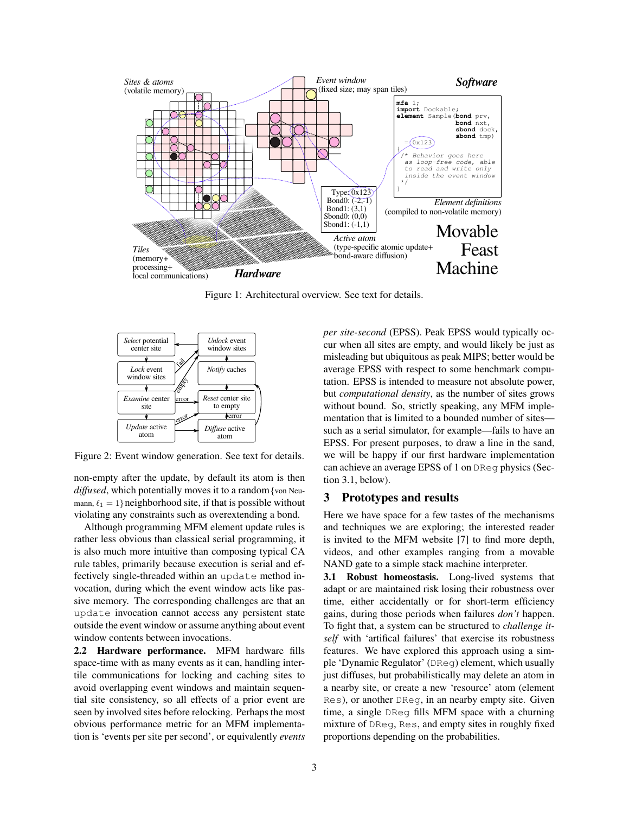

Figure 1: Architectural overview. See text for details.



Figure 2: Event window generation. See text for details.

non-empty after the update, by default its atom is then *diffused*, which potentially moves it to a random{von Neumann,  $\ell_1 = 1$ } neighborhood site, if that is possible without violating any constraints such as overextending a bond.

Although programming MFM element update rules is rather less obvious than classical serial programming, it is also much more intuitive than composing typical CA rule tables, primarily because execution is serial and effectively single-threaded within an update method invocation, during which the event window acts like passive memory. The corresponding challenges are that an update invocation cannot access any persistent state outside the event window or assume anything about event window contents between invocations.

2.2 Hardware performance. MFM hardware fills space-time with as many events as it can, handling intertile communications for locking and caching sites to avoid overlapping event windows and maintain sequential site consistency, so all effects of a prior event are seen by involved sites before relocking. Perhaps the most obvious performance metric for an MFM implementation is 'events per site per second', or equivalently *events* *per site-second* (EPSS). Peak EPSS would typically occur when all sites are empty, and would likely be just as misleading but ubiquitous as peak MIPS; better would be average EPSS with respect to some benchmark computation. EPSS is intended to measure not absolute power, but *computational density*, as the number of sites grows without bound. So, strictly speaking, any MFM implementation that is limited to a bounded number of sites such as a serial simulator, for example—fails to have an EPSS. For present purposes, to draw a line in the sand, we will be happy if our first hardware implementation can achieve an average EPSS of 1 on DReg physics (Section 3.1, below).

### 3 Prototypes and results

Here we have space for a few tastes of the mechanisms and techniques we are exploring; the interested reader is invited to the MFM website [7] to find more depth, videos, and other examples ranging from a movable NAND gate to a simple stack machine interpreter.

3.1 Robust homeostasis. Long-lived systems that adapt or are maintained risk losing their robustness over time, either accidentally or for short-term efficiency gains, during those periods when failures *don't* happen. To fight that, a system can be structured to *challenge itself* with 'artifical failures' that exercise its robustness features. We have explored this approach using a simple 'Dynamic Regulator' (DReg) element, which usually just diffuses, but probabilistically may delete an atom in a nearby site, or create a new 'resource' atom (element Res), or another DReg, in an nearby empty site. Given time, a single DReg fills MFM space with a churning mixture of DReg, Res, and empty sites in roughly fixed proportions depending on the probabilities.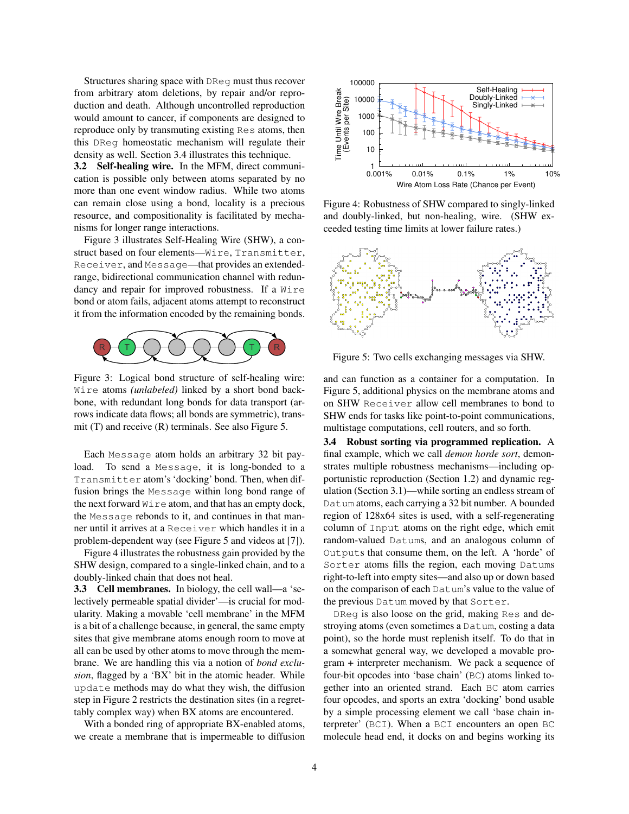Structures sharing space with DReg must thus recover from arbitrary atom deletions, by repair and/or reproduction and death. Although uncontrolled reproduction would amount to cancer, if components are designed to reproduce only by transmuting existing Res atoms, then this DReg homeostatic mechanism will regulate their density as well. Section 3.4 illustrates this technique.

3.2 Self-healing wire. In the MFM, direct communication is possible only between atoms separated by no more than one event window radius. While two atoms can remain close using a bond, locality is a precious resource, and compositionality is facilitated by mechanisms for longer range interactions.

Figure 3 illustrates Self-Healing Wire (SHW), a construct based on four elements—Wire, Transmitter, Receiver, and Message—that provides an extendedrange, bidirectional communication channel with redundancy and repair for improved robustness. If a Wire bond or atom fails, adjacent atoms attempt to reconstruct it from the information encoded by the remaining bonds.



Figure 3: Logical bond structure of self-healing wire: Wire atoms *(unlabeled)* linked by a short bond backbone, with redundant long bonds for data transport (arrows indicate data flows; all bonds are symmetric), transmit (T) and receive (R) terminals. See also Figure 5.

Each Message atom holds an arbitrary 32 bit payload. To send a Message, it is long-bonded to a Transmitter atom's 'docking' bond. Then, when diffusion brings the Message within long bond range of the next forward  $W \text{ is a atom}$ , and that has an empty dock, the Message rebonds to it, and continues in that manner until it arrives at a Receiver which handles it in a problem-dependent way (see Figure 5 and videos at [7]).

Figure 4 illustrates the robustness gain provided by the SHW design, compared to a single-linked chain, and to a doubly-linked chain that does not heal.

3.3 Cell membranes. In biology, the cell wall—a 'selectively permeable spatial divider'—is crucial for modularity. Making a movable 'cell membrane' in the MFM is a bit of a challenge because, in general, the same empty sites that give membrane atoms enough room to move at all can be used by other atoms to move through the membrane. We are handling this via a notion of *bond exclusion*, flagged by a 'BX' bit in the atomic header. While update methods may do what they wish, the diffusion step in Figure 2 restricts the destination sites (in a regrettably complex way) when BX atoms are encountered.

With a bonded ring of appropriate BX-enabled atoms, we create a membrane that is impermeable to diffusion



Figure 4: Robustness of SHW compared to singly-linked and doubly-linked, but non-healing, wire. (SHW exceeded testing time limits at lower failure rates.)



Figure 5: Two cells exchanging messages via SHW.

and can function as a container for a computation. In Figure 5, additional physics on the membrane atoms and on SHW Receiver allow cell membranes to bond to SHW ends for tasks like point-to-point communications, multistage computations, cell routers, and so forth.

3.4 Robust sorting via programmed replication. A final example, which we call *demon horde sort*, demonstrates multiple robustness mechanisms—including opportunistic reproduction (Section 1.2) and dynamic regulation (Section 3.1)—while sorting an endless stream of Datum atoms, each carrying a 32 bit number. A bounded region of 128x64 sites is used, with a self-regenerating column of Input atoms on the right edge, which emit random-valued Datums, and an analogous column of Outputs that consume them, on the left. A 'horde' of Sorter atoms fills the region, each moving Datums right-to-left into empty sites—and also up or down based on the comparison of each Datum's value to the value of the previous Datum moved by that Sorter.

DReg is also loose on the grid, making Res and destroying atoms (even sometimes a Datum, costing a data point), so the horde must replenish itself. To do that in a somewhat general way, we developed a movable program + interpreter mechanism. We pack a sequence of four-bit opcodes into 'base chain' (BC) atoms linked together into an oriented strand. Each BC atom carries four opcodes, and sports an extra 'docking' bond usable by a simple processing element we call 'base chain interpreter' (BCI). When a BCI encounters an open BC molecule head end, it docks on and begins working its